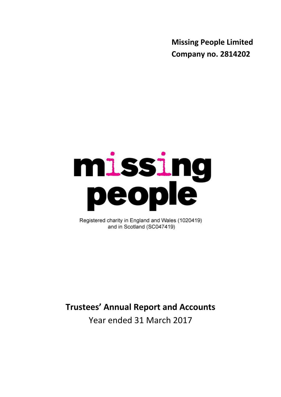**Missing People Limited Company no. 2814202**

# missing<br>people

Registered charity in England and Wales (1020419) and in Scotland (SC047419)

# **Trustees' Annual Report and Accounts**

Year ended 31 March 2017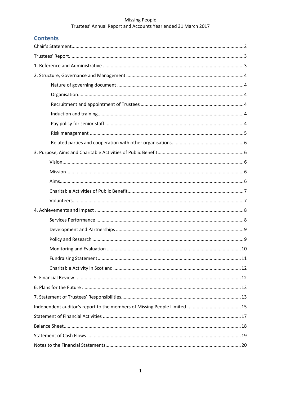# **Contents**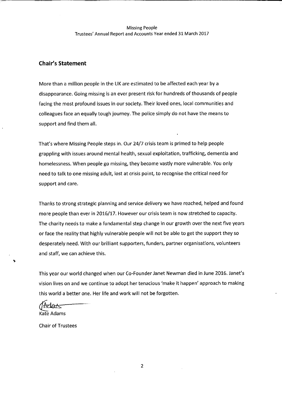### **Chair's Statement**

More than a million people in the UK are estimated to be affected each year by a disappearance. Going missing is an ever present risk for hundreds of thousands of people facing the most profound issues in our society. Their loved ones, local communities and colleagues face an equally tough journey. The police simply do not have the means to support and find them all.

That's where Missing People steps in. Our 24/7 crisis team is primed to help people grappling with issues around mental health, sexual exploitation, trafficking, dementia and homelessness. When people go missing, they become vastly more vulnerable. You only need to talk to one missing adult, lost at crisis point, to recognise the critical need for support and care.

Thanks to strong strategic planning and service delivery we have reached, helped and found more people than ever in 2016/17. However our crisis team is now stretched to capacity. The charity needs to make a fundamental step change in our growth over the next five years or face the reality that highly vulnerable people will not be able to get the support they so desperately need. With our brilliant supporters, funders, partner organisations, volunteers and staff, we can achieve this.

This year our world changed when our Co-Founder Janet Newman died in June 2016. Janet's vision lives on and we continue to adopt her tenacious 'make it happen' approach to making this world a better one. Her life and work will not be forgotten.

Kate Adams

**Chair of Trustees** 

 $\overline{2}$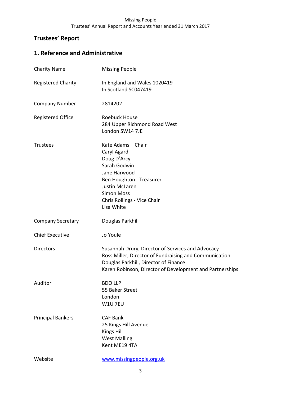# **Trustees' Report**

# **1. Reference and Administrative**

| <b>Charity Name</b>       | <b>Missing People</b>                                                                                                                                                                                            |
|---------------------------|------------------------------------------------------------------------------------------------------------------------------------------------------------------------------------------------------------------|
| <b>Registered Charity</b> | In England and Wales 1020419<br>In Scotland SC047419                                                                                                                                                             |
| <b>Company Number</b>     | 2814202                                                                                                                                                                                                          |
| <b>Registered Office</b>  | Roebuck House<br>284 Upper Richmond Road West<br>London SW14 7JE                                                                                                                                                 |
| <b>Trustees</b>           | Kate Adams - Chair<br>Caryl Agard<br>Doug D'Arcy<br>Sarah Godwin<br>Jane Harwood<br>Ben Houghton - Treasurer<br><b>Justin McLaren</b><br><b>Simon Moss</b><br>Chris Rollings - Vice Chair<br>Lisa White          |
| <b>Company Secretary</b>  | Douglas Parkhill                                                                                                                                                                                                 |
| <b>Chief Executive</b>    | Jo Youle                                                                                                                                                                                                         |
| <b>Directors</b>          | Susannah Drury, Director of Services and Advocacy<br>Ross Miller, Director of Fundraising and Communication<br>Douglas Parkhill, Director of Finance<br>Karen Robinson, Director of Development and Partnerships |
| Auditor                   | <b>BDO LLP</b><br>55 Baker Street<br>London<br>W1U 7EU                                                                                                                                                           |
| <b>Principal Bankers</b>  | <b>CAF Bank</b><br>25 Kings Hill Avenue<br><b>Kings Hill</b><br><b>West Malling</b><br>Kent ME19 4TA                                                                                                             |
| Website                   | www.missingpeople.org.uk                                                                                                                                                                                         |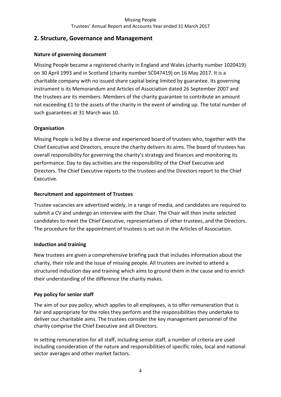# **2. Structure, Governance and Management**

# **Nature of governing document**

Missing People became a registered charity in England and Wales (charity number 1020419) on 30 April 1993 and in Scotland (charity number SC047419) on 16 May 2017. It is a charitable company with no issued share capital being limited by guarantee. Its governing instrument is its Memorandum and Articles of Association dated 26 September 2007 and the trustees are its members. Members of the charity guarantee to contribute an amount not exceeding £1 to the assets of the charity in the event of winding up. The total number of such guarantees at 31 March was 10.

# **Organisation**

Missing People is led by a diverse and experienced board of trustees who, together with the Chief Executive and Directors, ensure the charity delivers its aims. The board of trustees has overall responsibility for governing the charity's strategy and finances and monitoring its performance. Day to day activities are the responsibility of the Chief Executive and Directors. The Chief Executive reports to the trustees and the Directors report to the Chief Executive.

# **Recruitment and appointment of Trustees**

Trustee vacancies are advertised widely, in a range of media, and candidates are required to submit a CV and undergo an interview with the Chair. The Chair will then invite selected candidates to meet the Chief Executive, representatives of other trustees, and the Directors. The procedure for the appointment of trustees is set out in the Articles of Association.

# **Induction and training**

New trustees are given a comprehensive briefing pack that includes information about the charity, their role and the issue of missing people. All trustees are invited to attend a structured induction day and training which aims to ground them in the cause and to enrich their understanding of the difference the charity makes.

# **Pay policy for senior staff**

The aim of our pay policy, which applies to all employees, is to offer remuneration that is fair and appropriate for the roles they perform and the responsibilities they undertake to deliver our charitable aims. The trustees consider the key management personnel of the charity comprise the Chief Executive and all Directors.

In setting remuneration for all staff, including senior staff, a number of criteria are used including consideration of the nature and responsibilities of specific roles, local and national sector averages and other market factors.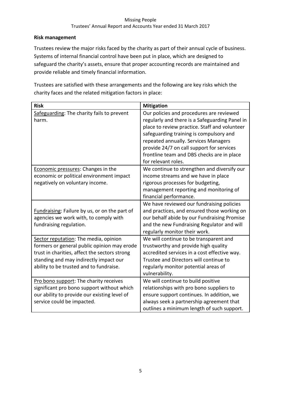# **Risk management**

Trustees review the major risks faced by the charity as part of their annual cycle of business. Systems of internal financial control have been put in place, which are designed to safeguard the charity's assets, ensure that proper accounting records are maintained and provide reliable and timely financial information.

Trustees are satisfied with these arrangements and the following are key risks which the charity faces and the related mitigation factors in place:

| <b>Risk</b>                                                                                                                                                                                                                | <b>Mitigation</b>                                                                                                                                                                                                                                                                                                                                |
|----------------------------------------------------------------------------------------------------------------------------------------------------------------------------------------------------------------------------|--------------------------------------------------------------------------------------------------------------------------------------------------------------------------------------------------------------------------------------------------------------------------------------------------------------------------------------------------|
| Safeguarding: The charity fails to prevent<br>harm.                                                                                                                                                                        | Our policies and procedures are reviewed<br>regularly and there is a Safeguarding Panel in<br>place to review practice. Staff and volunteer<br>safeguarding training is compulsory and<br>repeated annually. Services Managers<br>provide 24/7 on call support for services<br>frontline team and DBS checks are in place<br>for relevant roles. |
| Economic pressures: Changes in the<br>economic or political environment impact<br>negatively on voluntary income.                                                                                                          | We continue to strengthen and diversify our<br>income streams and we have in place<br>rigorous processes for budgeting,<br>management reporting and monitoring of<br>financial performance.                                                                                                                                                      |
| Fundraising: Failure by us, or on the part of<br>agencies we work with, to comply with<br>fundraising regulation.                                                                                                          | We have reviewed our fundraising policies<br>and practices, and ensured those working on<br>our behalf abide by our Fundraising Promise<br>and the new Fundraising Regulator and will<br>regularly monitor their work.                                                                                                                           |
| Sector reputation: The media, opinion<br>formers or general public opinion may erode<br>trust in charities, affect the sectors strong<br>standing and may indirectly impact our<br>ability to be trusted and to fundraise. | We will continue to be transparent and<br>trustworthy and provide high quality<br>accredited services in a cost effective way.<br>Trustee and Directors will continue to<br>regularly monitor potential areas of<br>vulnerability.                                                                                                               |
| Pro bono support: The charity receives<br>significant pro bono support without which<br>our ability to provide our existing level of<br>service could be impacted.                                                         | We will continue to build positive<br>relationships with pro bono suppliers to<br>ensure support continues. In addition, we<br>always seek a partnership agreement that<br>outlines a minimum length of such support.                                                                                                                            |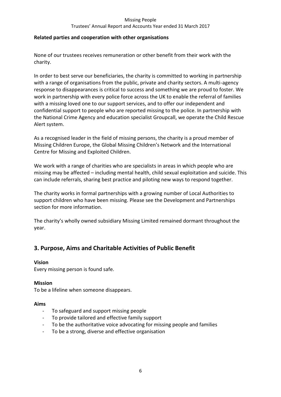### Trustees' Annual Report and Accounts Year ended 31 March 2017

### **Related parties and cooperation with other organisations**

None of our trustees receives remuneration or other benefit from their work with the charity.

In order to best serve our beneficiaries, the charity is committed to working in partnership with a range of organisations from the public, private and charity sectors. A multi-agency response to disappearances is critical to success and something we are proud to foster. We work in partnership with every police force across the UK to enable the referral of families with a missing loved one to our support services, and to offer our independent and confidential support to people who are reported missing to the police. In partnership with the National Crime Agency and education specialist Groupcall, we operate the Child Rescue Alert system.

As a recognised leader in the field of missing persons, the charity is a proud member of Missing Children Europe, the Global Missing Children's Network and the International Centre for Missing and Exploited Children.

We work with a range of charities who are specialists in areas in which people who are missing may be affected – including mental health, child sexual exploitation and suicide. This can include referrals, sharing best practice and piloting new ways to respond together.

The charity works in formal partnerships with a growing number of Local Authorities to support children who have been missing. Please see the Development and Partnerships section for more information.

The charity's wholly owned subsidiary Missing Limited remained dormant throughout the year.

# **3. Purpose, Aims and Charitable Activities of Public Benefit**

### **Vision**

Every missing person is found safe.

### **Mission**

To be a lifeline when someone disappears.

### **Aims**

- To safeguard and support missing people
- To provide tailored and effective family support
- To be the authoritative voice advocating for missing people and families
- To be a strong, diverse and effective organisation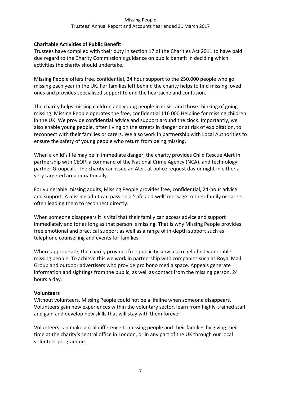## **Charitable Activities of Public Benefit**

Trustees have complied with their duty in section 17 of the Charities Act 2011 to have paid due regard to the Charity Commission's guidance on public benefit in deciding which activities the charity should undertake.

Missing People offers free, confidential, 24 hour support to the 250,000 people who go missing each year in the UK. For families left behind the charity helps to find missing loved ones and provides specialised support to end the heartache and confusion.

The charity helps missing children and young people in crisis, and those thinking of going missing. Missing People operates the free, confidential 116 000 Helpline for missing children in the UK. We provide confidential advice and support around the clock. Importantly, we also enable young people, often living on the streets in danger or at risk of exploitation, to reconnect with their families or carers. We also work in partnership with Local Authorities to ensure the safety of young people who return from being missing.

When a child's life may be in immediate danger, the charity provides Child Rescue Alert in partnership with CEOP, a command of the [National Crime Agency \(NCA\),](http://nationalcrimeagency.gov.uk/) and technology partner Groupcall. The charity can issue an Alert at police request day or night in either a very targeted area or nationally.

For vulnerable missing adults, Missing People provides free, confidential, 24-hour advice and support. A missing adult can pass on a 'safe and well' message to their family or carers, often leading them to reconnect directly.

When someone disappears it is vital that their family can access advice and support immediately and for as long as that person is missing. That is why Missing People provides free emotional and practical support as well as a range of in-depth support such as telephone counselling and events for families.

Where appropriate, the charity provides free publicity services to help find vulnerable missing people. To achieve this we work in partnership with companies such as Royal Mail Group and outdoor advertisers who provide pro bono media space. Appeals generate information and sightings from the public, as well as contact from the missing person, 24 hours a day.

### **Volunteers**

Without volunteers, Missing People could not be a lifeline when someone disappears. Volunteers gain new experiences within the voluntary sector, learn from highly-trained staff and gain and develop new skills that will stay with them forever.

Volunteers can make a real difference to missing people and their families by giving their time at the charity's central office in London, or in any part of the UK through our local volunteer programme.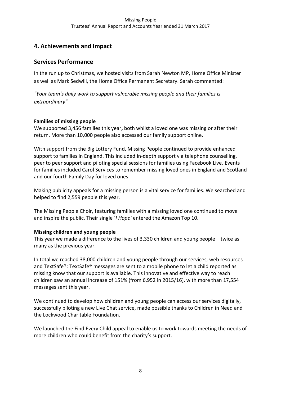# **4. Achievements and Impact**

# **Services Performance**

In the run up to Christmas, we hosted visits from Sarah Newton MP, Home Office Minister as well as Mark Sedwill, the Home Office Permanent Secretary. Sarah commented:

*"Your team's daily work to support vulnerable missing people and their families is extraordinary"*

# **Families of missing people**

We supported 3,456 families this year**,** both whilst a loved one was missing or after their return. More than 10,000 people also accessed our family support online.

With support from the Big Lottery Fund, Missing People continued to provide enhanced support to families in England. This included in-depth support via telephone counselling, peer to peer support and piloting special sessions for families using Facebook Live. Events for families included Carol Services to remember missing loved ones in England and Scotland and our fourth Family Day for loved ones.

Making publicity appeals for a missing person is a vital service for families. We searched and helped to find 2,559 people this year.

The Missing People Choir, featuring families with a missing loved one continued to move and inspire the public. Their single '*I Hope'* entered the Amazon Top 10.

# **Missing children and young people**

This year we made a difference to the lives of 3,330 children and young people – twice as many as the previous year.

In total we reached 38,000 children and young people through our services, web resources and TextSafe®: TextSafe® messages are sent to a mobile phone to let a child reported as missing know that our support is available. This innovative and effective way to reach children saw an annual increase of 151% (from 6,952 in 2015/16), with more than 17,554 messages sent this year.

We continued to develop how children and young people can access our services digitally, successfully piloting a new Live Chat service, made possible thanks to Children in Need and the Lockwood Charitable Foundation.

We launched the Find Every Child appeal to enable us to work towards meeting the needs of more children who could benefit from the charity's support.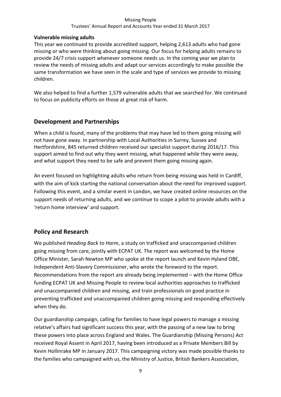### Trustees' Annual Report and Accounts Year ended 31 March 2017

## **Vulnerable missing adults**

This year we continued to provide accredited support, helping 2,613 adults who had gone missing or who were thinking about going missing. Our focus for helping adults remains to provide 24/7 crisis support whenever someone needs us. In the coming year we plan to review the needs of missing adults and adapt our services accordingly to make possible the same transformation we have seen in the scale and type of services we provide to missing children.

We also helped to find a further 1,579 vulnerable adults that we searched for. We continued to focus on publicity efforts on those at great risk of harm.

# **Development and Partnerships**

When a child is found, many of the problems that may have led to them going missing will not have gone away. In partnership with Local Authorities in Surrey, Sussex and Hertfordshire, 845 returned children received our specialist support during 2016/17. This support aimed to find out why they went missing, what happened while they were away, and what support they need to be safe and prevent them going missing again.

An event focused on highlighting adults who return from being missing was held in Cardiff, with the aim of kick starting the national conversation about the need for improved support. Following this event, and a similar event in London, we have created online resources on the support needs of returning adults, and we continue to scope a pilot to provide adults with a 'return home interview' and support.

# **Policy and Research**

We published *Heading Back to Harm*, a study on trafficked and unaccompanied children going missing from care, jointly with ECPAT UK. The report was welcomed by the Home Office Minister, Sarah Newton MP who spoke at the report launch and Kevin Hyland OBE, Independent Anti-Slavery Commissioner, who wrote the foreword to the report. Recommendations from the report are already being implemented – with the Home Office funding ECPAT UK and Missing People to review local authorities approaches to trafficked and unaccompanied children and missing, and train professionals on good practice in preventing trafficked and unaccompanied children going missing and responding effectively when they do.

Our guardianship campaign, calling for families to have legal powers to manage a missing relative's affairs had significant success this year, with the passing of a new law to bring these powers into place across England and Wales. The Guardianship (Missing Persons) Act received Royal Assent in April 2017, having been introduced as a Private Members Bill by Kevin Hollinrake MP in January 2017. This campaigning victory was made possible thanks to the families who campaigned with us, the Ministry of Justice, British Bankers Association,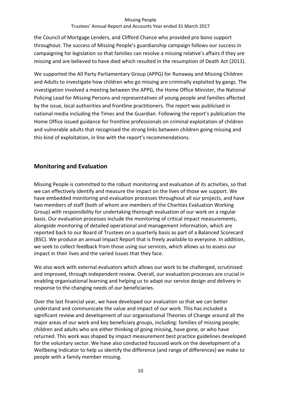## Trustees' Annual Report and Accounts Year ended 31 March 2017

the Council of Mortgage Lenders, and Clifford Chance who provided pro bono support throughout. The success of Missing People's guardianship campaign follows our success in campaigning for legislation so that families can resolve a missing relative's affairs if they are missing and are believed to have died which resulted in the resumption of Death Act (2013).

We supported the All Party Parliamentary Group (APPG) for Runaway and Missing Children and Adults to investigate how children who go missing are criminally exploited by gangs. The investigation involved a meeting between the APPG, the Home Office Minister, the National Policing Lead for Missing Persons and representatives of young people and families affected by the issue, local authorities and frontline practitioners. The report was publicised in national media including the Times and the Guardian. Following the report's publication the Home Office issued guidance for frontline professionals on criminal exploitation of children and vulnerable adults that recognised the strong links between children going missing and this kind of exploitation, in line with the report's recommendations.

# **Monitoring and Evaluation**

Missing People is committed to the robust monitoring and evaluation of its activities, so that we can effectively identify and measure the impact on the lives of those we support. We have embedded monitoring and evaluation processes throughout all our projects, and have two members of staff (both of whom are members of the Charities Evaluation Working Group) with responsibility for undertaking thorough evaluation of our work on a regular basis. Our evaluation processes include the monitoring of critical impact measurements, alongside monitoring of detailed operational and management information, which are reported back to our Board of Trustees on a quarterly basis as part of a Balanced Scorecard (BSC). We produce an annual Impact Report that is freely available to everyone. In addition, we seek to collect feedback from those using our services, which allows us to assess our impact in their lives and the varied issues that they face.

We also work with external evaluators which allows our work to be challenged, scrutinised and improved, through independent review. Overall, our evaluation processes are crucial in enabling organisational learning and helping us to adapt our service design and delivery in response to the changing needs of our beneficiaries.

Over the last financial year, we have developed our evaluation so that we can better understand and communicate the value and impact of our work. This has included a significant review and development of our organisational Theories of Change around all the major areas of our work and key beneficiary groups, including: families of missing people; children and adults who are either thinking of going missing, have gone, or who have returned. This work was shaped by impact measurement best practice guidelines developed for the voluntary sector. We have also conducted focussed work on the development of a Wellbeing Indicator to help us identify the difference (and range of differences) we make to people with a family member missing.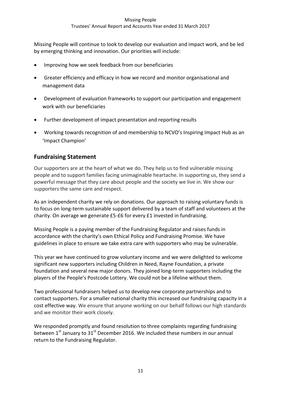# Trustees' Annual Report and Accounts Year ended 31 March 2017

Missing People will continue to look to develop our evaluation and impact work, and be led by emerging thinking and innovation. Our priorities will include:

- Improving how we seek feedback from our beneficiaries
- Greater efficiency and efficacy in how we record and monitor organisational and management data
- Development of evaluation frameworks to support our participation and engagement work with our beneficiaries
- Further development of impact presentation and reporting results
- Working towards recognition of and membership to NCVO's Inspiring Impact Hub as an 'Impact Champion'

# **Fundraising Statement**

Our supporters are at the heart of what we do. They help us to find vulnerable missing people and to support families facing unimaginable heartache. In supporting us, they send a powerful message that they care about people and the society we live in. We show our supporters the same care and respect.

As an independent charity we rely on donations. Our approach to raising voluntary funds is to focus on long-term sustainable support delivered by a team of staff and volunteers at the charity. On average we generate £5-£6 for every £1 invested in fundraising.

Missing People is a paying member of the Fundraising Regulator and raises funds in accordance with the charity's own Ethical Policy and Fundraising Promise. We have guidelines in place to ensure we take extra care with supporters who may be vulnerable.

This year we have continued to grow voluntary income and we were delighted to welcome significant new supporters including Children in Need, Rayne Foundation, a private foundation and several new major donors. They joined long-term supporters including the players of the People's Postcode Lottery. We could not be a lifeline without them.

Two professional fundraisers helped us to develop new corporate partnerships and to contact supporters. For a smaller national charity this increased our fundraising capacity in a cost effective way. We ensure that anyone working on our behalf follows our high standards and we monitor their work closely.

We responded promptly and found resolution to three complaints regarding fundraising between  $1<sup>st</sup>$  January to  $31<sup>st</sup>$  December 2016. We included these numbers in our annual return to the Fundraising Regulator.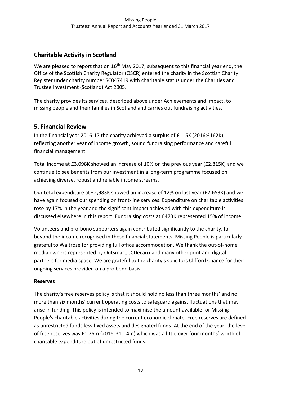# **Charitable Activity in Scotland**

We are pleased to report that on  $16<sup>th</sup>$  May 2017, subsequent to this financial year end, the Office of the Scottish Charity Regulator (OSCR) entered the charity in the Scottish Charity Register under charity number SC047419 with charitable status under the Charities and Trustee Investment (Scotland) Act 2005.

The charity provides its services, described above under Achievements and Impact, to missing people and their families in Scotland and carries out fundraising activities.

# **5. Financial Review**

In the financial year 2016-17 the charity achieved a surplus of £115K (2016:£162K), reflecting another year of income growth, sound fundraising performance and careful financial management.

Total income at £3,098K showed an increase of 10% on the previous year (£2,815K) and we continue to see benefits from our investment in a long-term programme focused on achieving diverse, robust and reliable income streams.

Our total expenditure at £2,983K showed an increase of 12% on last year (£2,653K) and we have again focused our spending on front-line services. Expenditure on charitable activities rose by 17% in the year and the significant impact achieved with this expenditure is discussed elsewhere in this report. Fundraising costs at £473K represented 15% of income.

Volunteers and pro-bono supporters again contributed significantly to the charity, far beyond the income recognised in these financial statements. Missing People is particularly grateful to Waitrose for providing full office accommodation. We thank the out-of-home media owners represented by Outsmart, JCDecaux and many other print and digital partners for media space. We are grateful to the charity's solicitors Clifford Chance for their ongoing services provided on a pro bono basis.

# **Reserves**

The charity's free reserves policy is that it should hold no less than three months' and no more than six months' current operating costs to safeguard against fluctuations that may arise in funding. This policy is intended to maximise the amount available for Missing People's charitable activities during the current economic climate. Free reserves are defined as unrestricted funds less fixed assets and designated funds. At the end of the year, the level of free reserves was £1.26m (2016: £1.14m) which was a little over four months' worth of charitable expenditure out of unrestricted funds.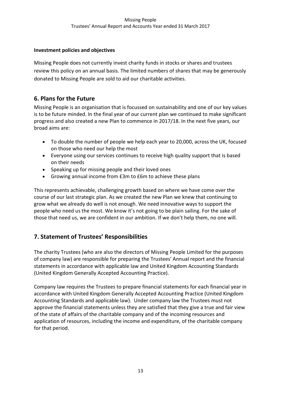# **Investment policies and objectives**

Missing People does not currently invest charity funds in stocks or shares and trustees review this policy on an annual basis. The limited numbers of shares that may be generously donated to Missing People are sold to aid our charitable activities.

# **6. Plans for the Future**

Missing People is an organisation that is focussed on sustainability and one of our key values is to be future minded. In the final year of our current plan we continued to make significant progress and also created a new Plan to commence in 2017/18. In the next five years, our broad aims are:

- To double the number of people we help each year to 20,000, across the UK, focused on those who need our help the most
- Everyone using our services continues to receive high quality support that is based on their needs
- Speaking up for missing people and their loved ones
- Growing annual income from £3m to £6m to achieve these plans

This represents achievable, challenging growth based on where we have come over the course of our last strategic plan. As we created the new Plan we knew that continuing to grow what we already do well is not enough. We need innovative ways to support the people who need us the most. We know it's not going to be plain sailing. For the sake of those that need us, we are confident in our ambition. If we don't help them, no one will.

# **7. Statement of Trustees' Responsibilities**

The charity Trustees (who are also the directors of Missing People Limited for the purposes of company law) are responsible for preparing the Trustees' Annual report and the financial statements in accordance with applicable law and United Kingdom Accounting Standards (United Kingdom Generally Accepted Accounting Practice).

Company law requires the Trustees to prepare financial statements for each financial year in accordance with United Kingdom Generally Accepted Accounting Practice (United Kingdom Accounting Standards and applicable law). Under company law the Trustees must not approve the financial statements unless they are satisfied that they give a true and fair view of the state of affairs of the charitable company and of the incoming resources and application of resources, including the income and expenditure, of the charitable company for that period.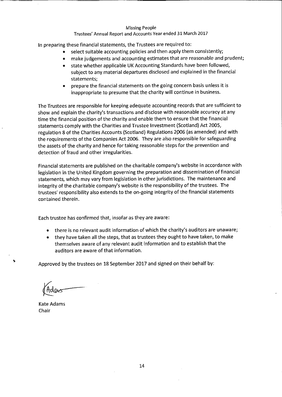### Trustees' Annual Report and Accounts Year ended 31 March 2017

In preparing these financial statements, the Trustees are required to:

- select suitable accounting policies and then apply them consistently;  $\bullet$
- make judgements and accounting estimates that are reasonable and prudent;  $\bullet$
- state whether applicable UK Accounting Standards have been followed, subject to any material departures disclosed and explained in the financial statements;
- prepare the financial statements on the going concern basis unless it is inappropriate to presume that the charity will continue in business.

The Trustees are responsible for keeping adequate accounting records that are sufficient to show and explain the charity's transactions and disclose with reasonable accuracy at any time the financial position of the charity and enable them to ensure that the financial statements comply with the Charities and Trustee Investment (Scotland) Act 2005, regulation 8 of the Charities Accounts (Scotland) Regulations 2006 (as amended) and with the requirements of the Companies Act 2006. They are also responsible for safeguarding the assets of the charity and hence for taking reasonable steps for the prevention and detection of fraud and other irregularities.

Financial statements are published on the charitable company's website in accordance with legislation in the United Kingdom governing the preparation and dissemination of financial statements, which may vary from legislation in other jurisdictions. The maintenance and integrity of the charitable company's website is the responsibility of the trustees. The trustees' responsibility also extends to the on-going integrity of the financial statements contained therein.

Each trustee has confirmed that, insofar as they are aware:

- there is no relevant audit information of which the charity's auditors are unaware;
- they have taken all the steps, that as trustees they ought to have taken, to make themselves aware of any relevant audit information and to establish that the auditors are aware of that information.

Approved by the trustees on 18 September 2017 and signed on their behalf by:

**Kate Adams** Chair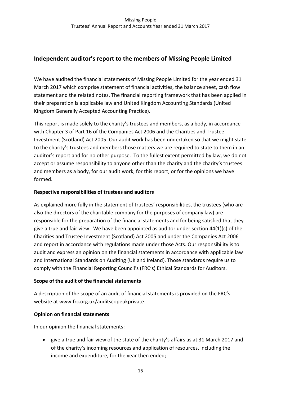# **Independent auditor's report to the members of Missing People Limited**

We have audited the financial statements of Missing People Limited for the year ended 31 March 2017 which comprise statement of financial activities, the balance sheet, cash flow statement and the related notes. The financial reporting framework that has been applied in their preparation is applicable law and United Kingdom Accounting Standards (United Kingdom Generally Accepted Accounting Practice).

This report is made solely to the charity's trustees and members, as a body, in accordance with Chapter 3 of Part 16 of the Companies Act 2006 and the Charities and Trustee Investment (Scotland) Act 2005. Our audit work has been undertaken so that we might state to the charity's trustees and members those matters we are required to state to them in an auditor's report and for no other purpose. To the fullest extent permitted by law, we do not accept or assume responsibility to anyone other than the charity and the charity's trustees and members as a body, for our audit work, for this report, or for the opinions we have formed.

# **Respective responsibilities of trustees and auditors**

As explained more fully in the statement of trustees' responsibilities, the trustees (who are also the directors of the charitable company for the purposes of company law) are responsible for the preparation of the financial statements and for being satisfied that they give a true and fair view. We have been appointed as auditor under section  $44(1)(c)$  of the Charities and Trustee Investment (Scotland) Act 2005 and under the Companies Act 2006 and report in accordance with regulations made under those Acts. Our responsibility is to audit and express an opinion on the financial statements in accordance with applicable law and International Standards on Auditing (UK and Ireland). Those standards require us to comply with the Financial Reporting Council's (FRC's) Ethical Standards for Auditors.

# **Scope of the audit of the financial statements**

A description of the scope of an audit of financial statements is provided on the FRC's website at www.frc.org.uk/auditscopeukprivate.

# **Opinion on financial statements**

In our opinion the financial statements:

 give a true and fair view of the state of the charity's affairs as at 31 March 2017 and of the charity's incoming resources and application of resources, including the income and expenditure, for the year then ended;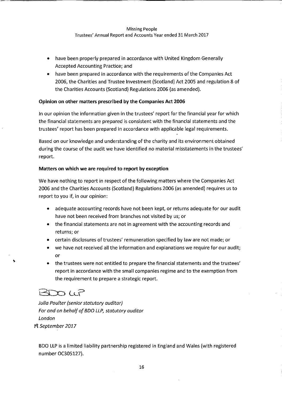- have been properly prepared in accordance with United Kingdom Generally  $\bullet$ Accepted Accounting Practice; and
- have been prepared in accordance with the requirements of the Companies Act 2006, the Charities and Trustee Investment (Scotland) Act 2005 and regulation 8 of the Charities Accounts (Scotland) Regulations 2006 (as amended).

### Opinion on other matters prescribed by the Companies Act 2006

In our opinion the information given in the trustees' report for the financial year for which the financial statements are prepared is consistent with the financial statements and the trustees' report has been prepared in accordance with applicable legal requirements.

Based on our knowledge and understanding of the charity and its environment obtained during the course of the audit we have identified no material misstatements in the trustees' report.

### Matters on which we are required to report by exception

We have nothing to report in respect of the following matters where the Companies Act 2006 and the Charities Accounts (Scotland) Regulations 2006 (as amended) requires us to report to you if, in our opinion:

- adequate accounting records have not been kept, or returns adequate for our audit have not been received from branches not visited by us; or
- the financial statements are not in agreement with the accounting records and returns; or
- certain disclosures of trustees' remuneration specified by law are not made; or
- we have not received all the information and explanations we require for our audit; or
- the trustees were not entitled to prepare the financial statements and the trustees' report in accordance with the small companies regime and to the exemption from the requirement to prepare a strategic report.

# BDOLP

Julia Poulter (senior statutory auditor) For and on behalf of BDO LLP, statutory auditor London 19 September 2017

BDO LLP is a limited liability partnership registered in England and Wales (with registered number OC305127).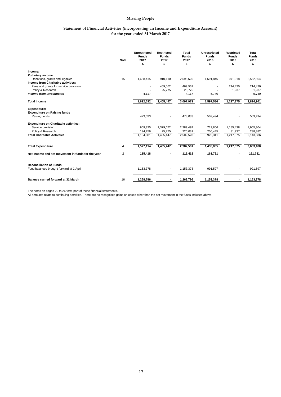### **Statement of Financial Activities (incorporating an Income and Expenditure Account) for the year ended 31 March 2017**

|                                                   | <b>Note</b>    | <b>Unrestricted</b><br><b>Funds</b><br>2017<br>£ | <b>Restricted</b><br><b>Funds</b><br>2017<br>£ | <b>Total</b><br><b>Funds</b><br>2017<br>£ | <b>Unrestricted</b><br><b>Funds</b><br>2016<br>£ | <b>Restricted</b><br><b>Funds</b><br>2016<br>£ | Total<br><b>Funds</b><br>2016<br>£ |
|---------------------------------------------------|----------------|--------------------------------------------------|------------------------------------------------|-------------------------------------------|--------------------------------------------------|------------------------------------------------|------------------------------------|
| Income:                                           |                |                                                  |                                                |                                           |                                                  |                                                |                                    |
| <b>Voluntary Income</b>                           |                |                                                  |                                                |                                           |                                                  |                                                |                                    |
| Donations, grants and legacies                    | 15             | 1,688,415                                        | 910,110                                        | 2,598,525                                 | 1,591,846                                        | 971,018                                        | 2,562,864                          |
| Income from Charitable activities:                |                |                                                  |                                                |                                           |                                                  |                                                |                                    |
| Fees and grants for service provision             |                | ٠                                                | 469,562                                        | 469,562                                   |                                                  | 214,420                                        | 214,420                            |
| Policy & Research                                 |                |                                                  | 25,775                                         | 25,775                                    |                                                  | 31,937                                         | 31,937                             |
| <b>Income from Investments</b>                    |                | 4,117                                            |                                                | 4,117                                     | 5,740                                            |                                                | 5,740                              |
| <b>Total income</b>                               |                | 1,692,532                                        | 1,405,447                                      | 3,097,979                                 | 1,597,586                                        | 1,217,375                                      | 2,814,961                          |
| <b>Expenditure:</b>                               |                |                                                  |                                                |                                           |                                                  |                                                |                                    |
| <b>Expenditure on Raising funds</b>               |                |                                                  |                                                |                                           |                                                  |                                                |                                    |
| Raising funds                                     |                | 473,033                                          |                                                | 473,033                                   | 509,494                                          |                                                | 509,494                            |
| <b>Expenditure on Charitable activities:</b>      |                |                                                  |                                                |                                           |                                                  |                                                |                                    |
| Service provision                                 |                | 909.825                                          | 1,379,672                                      | 2,289,497                                 | 719,866                                          | 1,185,438                                      | 1,905,304                          |
| Policy & Research                                 |                | 194,256                                          | 25,775                                         | 220,031                                   | 206,445                                          | 31,937                                         | 238,382                            |
| <b>Total Charitable Activities</b>                |                | 1,104,081                                        | 1,405,447                                      | 2,509,528                                 | 926,311                                          | 1,217,375                                      | 2,143,686                          |
| <b>Total Expenditure</b>                          | 4              | 1,577,114                                        | 1,405,447                                      | 2,982,561                                 | 1,435,805                                        | 1,217,375                                      | 2,653,180                          |
|                                                   |                |                                                  |                                                |                                           |                                                  |                                                |                                    |
| Net income and net movement in funds for the year | $\overline{2}$ | 115,418                                          |                                                | 115,418                                   | 161,781                                          |                                                | 161,781                            |
| <b>Reconciliation of Funds</b>                    |                |                                                  |                                                |                                           |                                                  |                                                |                                    |
| Fund balances brought forward at 1 April          |                | 1,153,378                                        |                                                | 1,153,378                                 | 991,597                                          |                                                | 991,597                            |
| Balance carried forward at 31 March               | 16             | 1,268,796                                        |                                                | 1,268,796                                 | 1,153,378                                        |                                                | 1,153,378                          |

The notes on pages 20 to 26 form part of these financial statements. All amounts relate to continuing activities. There are no recognised gains or losses other than the net movement in the funds included above.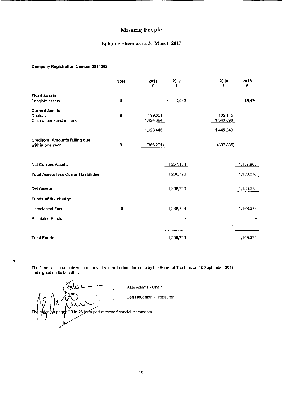### Balance Sheet as at 31 March 2017

### **Company Registration Number 2814202**

|                                                          | <b>Note</b> | 2017<br>£            | 2017<br>£                    | 2016<br>£            | 2016<br>£ |
|----------------------------------------------------------|-------------|----------------------|------------------------------|----------------------|-----------|
| <b>Fixed Assets</b><br>Tangible assets                   | $\,6$       |                      | 11,642<br>$\hat{\mathbf{v}}$ |                      | 15,470    |
| <b>Current Assets</b>                                    |             |                      |                              |                      |           |
| Debtors<br>Cash at bank and in hand                      | 8           | 199,051<br>1,424,394 |                              | 105,145<br>1 340 098 |           |
|                                                          |             | 1,623,445            |                              | 1,445,243            |           |
| <b>Creditors: Amounts falling due</b><br>within one year | 9           | (366, 291)           |                              | (307, 335)           |           |
| <b>Net Current Assets</b>                                |             |                      | 1,257,154                    |                      | 1,137,908 |
| <b>Total Assets less Current Liabilities</b>             |             |                      | 1,268,796                    |                      | 1,153,378 |
| <b>Net Assets</b>                                        |             |                      | 1,268,796                    |                      | 1,153,378 |
| Funds of the charity:                                    |             |                      |                              |                      |           |
| <b>Unrestricted Funds</b>                                | 16          |                      | 1,268,796                    |                      | 1,153,378 |
| <b>Restricted Funds</b>                                  |             |                      |                              |                      |           |
|                                                          |             |                      |                              |                      |           |
| <b>Total Funds</b>                                       |             |                      | 1,268,796                    |                      | 1,153,378 |

The financial statements were approved and authorised for issue by the Board of Trustees on 18 September 2017 and signed on its behalf by:

 $\hspace{.1cm}\}$  $\mathfrak{b}$ tes $\mathfrak{h}$ n pages 20 to 26 form part of these financial statements. **Th** 

 $\ddot{\phantom{0}}$ 

Kate Adams - Chair

Ben Houghton - Treasurer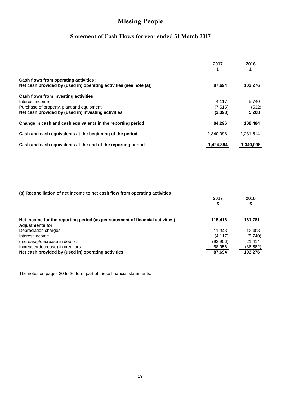# **Statement of Cash Flows for year ended 31 March 2017**

|                                                                    | 2017<br>£ | 2016<br>£ |
|--------------------------------------------------------------------|-----------|-----------|
| Cash flows from operating activities :                             |           |           |
| Net cash provided by (used in) operating activities (see note (a)) | 87,694    | 103,276   |
| Cash flows from investing activities                               |           |           |
| Interest income                                                    | 4.117     | 5,740     |
| Purchase of property, plant and equipment                          | (7,515)   | (532)     |
| Net cash provided by (used in) investing activities                | (3, 398)  | 5,208     |
| Change in cash and cash equivalents in the reporting period        | 84.296    | 108,484   |
| Cash and cash equivalents at the beginning of the period           | 1.340.098 | 1,231,614 |
| Cash and cash equivalents at the end of the reporting period       | 1.424.394 | 1.340.098 |

### **(a) Reconciliation of net income to net cash flow from operating activities**

|                                                                                                           | 2017     | 2016     |
|-----------------------------------------------------------------------------------------------------------|----------|----------|
|                                                                                                           |          |          |
| Net income for the reporting period (as per statement of financial activities)<br><b>Adjustments for:</b> | 115.418  | 161,781  |
| Depreciation charges                                                                                      | 11.343   | 12.403   |
| Interest income                                                                                           | (4.117)  | (5,740)  |
| (Increase)/decrease in debtors                                                                            | (93,906) | 21.414   |
| Increase/(decrease) in creditors                                                                          | 58,956   | (86,582) |
| Net cash provided by (used in) operating activities                                                       | 87,694   | 103,276  |

The notes on pages 20 to 26 form part of these financial statements.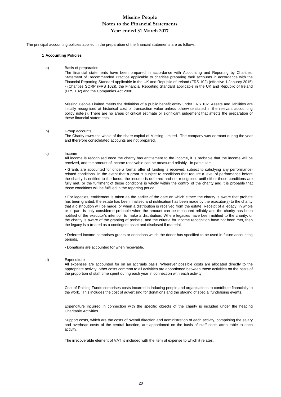## **Year ended 31 March 2017 Missing People Notes to the Financial Statements**

The principal accounting policies applied in the preparation of the financial statements are as follows:

### **1 Accounting Policies**

a) Basis of preparation

The financial statements have been prepared in accordance with Accounting and Reporting by Charities: Statement of Recommended Practice applicable to charities preparing their accounts in accordance with the Financial Reporting Standard applicable in the UK and Republic of Ireland (FRS 102) (effective 1 January 2015) - (Charities SORP (FRS 102)), the Financial Reporting Standard applicable in the UK and Republic of Ireland (FRS 102) and the Companies Act 2006.

Missing People Limited meets the definition of a public benefit entity under FRS 102. Assets and liabilities are initially recognised at historical cost or transaction value unless otherwise stated in the relevant accounting policy note(s). There are no areas of critical estimate or significant judgement that affects the preparation of these financial statements.

### b) Group accounts

The Charity owns the whole of the share capital of Missing Limited. The company was dormant during the year and therefore consolidated accounts are not prepared.

### c) Income

All income is recognised once the charity has entitlement to the income, it is probable that the income will be received, and the amount of income receivable can be measured reliably. In particular:

• Grants are accounted for once a formal offer of funding is received, subject to satisfying any performancerelated conditions. In the event that a grant is subject to conditions that require a level of performance before the charity is entitled to the funds, the income is deferred and not recognised until either those conditions are fully met, or the fulfilment of those conditions is wholly within the control of the charity and it is probable that those conditions will be fulfilled in the reporting period;

• For legacies, entitlement is taken as the earlier of the date on which either: the charity is aware that probate has been granted, the estate has been finalised and notification has been made by the executor(s) to the charity that a distribution will be made, or when a distribution is received from the estate. Receipt of a legacy, in whole or in part, is only considered probable when the amount can be measured reliably and the charity has been notified of the executor's intention to make a distribution. Where legacies have been notified to the charity, or the charity is aware of the granting of probate, and the criteria for income recognition have not been met, then the legacy is a treated as a contingent asset and disclosed if material.

• Deferred income comprises grants or donations which the donor has specified to be used in future accounting periods.

• Donations are accounted for when receivable.

### d) Expenditure

All expenses are accounted for on an accruals basis. Wherever possible costs are allocated directly to the appropriate activity; other costs common to all activities are apportioned between those activities on the basis of the proportion of staff time spent during each year in connection with each activity.

Cost of Raising Funds comprises costs incurred in inducing people and organisations to contribute financially to the work. This includes the cost of advertising for donations and the staging of special fundraising events.

Expenditure incurred in connection with the specific objects of the charity is included under the heading Charitable Activities.

Support costs, which are the costs of overall direction and administration of each activity, comprising the salary and overhead costs of the central function, are apportioned on the basis of staff costs attributable to each activity.

The irrecoverable element of VAT is included with the item of expense to which it relates.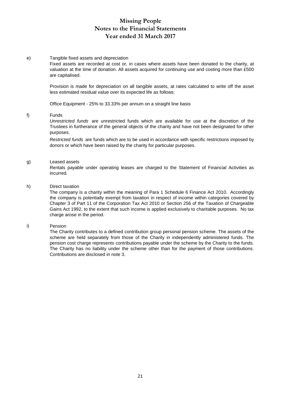# **Missing People Notes to the Financial Statements Year ended 31 March 2017**

### e) Tangible fixed assets and depreciation

Fixed assets are recorded at cost or, in cases where assets have been donated to the charity, at valuation at the time of donation. All assets acquired for continuing use and costing more than £500 are capitalised.

Provision is made for depreciation on all tangible assets, at rates calculated to write off the asset less estimated residual value over its expected life as follows:

Office Equipment - 25% to 33.33% per annum on a straight line basis

### f) Funds

*Unrestricted funds* are unrestricted funds which are available for use at the discretion of the Trustees in furtherance of the general objects of the charity and have not been designated for other purposes.

*Restricted funds* are funds which are to be used in accordance with specific restrictions imposed by donors or which have been raised by the charity for particular purposes.

### g) Leased assets

Rentals payable under operating leases are charged to the Statement of Financial Activities as incurred.

### h) Direct taxation

The company is a charity within the meaning of Para 1 Schedule 6 Finance Act 2010. Accordingly the company is potentially exempt from taxation in respect of income within categories covered by Chapter 3 of Part 11 of the Corporation Tax Act 2010 or Section 256 of the Taxation of Chargeable Gains Act 1992, to the extent that such income is applied exclusively to charitable purposes. No tax charge arose in the period.

### i) Pension

The Charity contributes to a defined contribution group personal pension scheme. The assets of the scheme are held separately from those of the Charity in independently administered funds. The pension cost charge represents contributions payable under the scheme by the Charity to the funds. The Charity has no liability under the scheme other than for the payment of those contributions. Contributions are disclosed in note 3.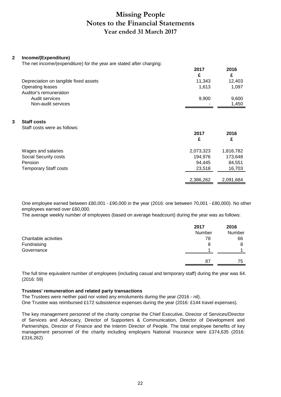# **Missing People Notes to the Financial Statements Year ended 31 March 2017**

**2017 2016**

### **2 Income/(Expenditure)**

The net income/(expenditure) for the year are stated after charging:

| £<br>11,343 | £<br>12,403                                       |
|-------------|---------------------------------------------------|
|             |                                                   |
|             |                                                   |
|             | 1,097                                             |
|             |                                                   |
| 9,900       | 9,600                                             |
|             | 1,450                                             |
| 2017<br>£   | 2016<br>£                                         |
|             |                                                   |
|             | 1,816,782                                         |
|             | 173,648                                           |
|             | 84,551                                            |
|             | 16,703                                            |
| 2,386,262   | 2,091,684                                         |
|             | 1,613<br>2,073,323<br>194,976<br>94,445<br>23,518 |

One employee earned between £80,001 - £90,000 in the year (2016: one between 70,001 - £80,000). No other employees earned over £60,000.

The average weekly number of employees (based on average headcount) during the year was as follows:

|                       | 2017<br>Number | 2016<br>Number |
|-----------------------|----------------|----------------|
| Charitable activities | 78             | 66             |
| Fundraising           | 8              | 8              |
| Governance            |                |                |
|                       | 87             | 75             |

The full time equivalent number of employees (including casual and temporary staff) during the year was 64. (2016: 59)

### **Trustees' remuneration and related party transactions**

The Trustees were neither paid nor voted any emoluments during the year (2016 - nil). One Trustee was reimbursed £172 subsistence expenses during the year (2016: £144 travel expenses).

The key management personnel of the charity comprise the Chief Executive, Director of Services/Director of Services and Advocacy, Director of Supporters & Communication, Director of Development and Partnerships, Director of Finance and the Interim Director of People. The total employee benefits of key management personnel of the charity including employers National Insurance were £374,635 (2016: £316,262)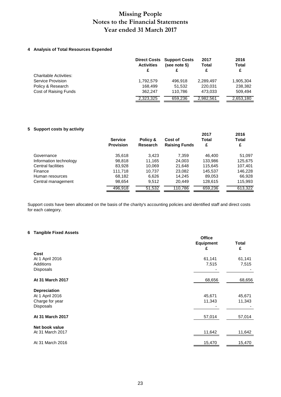# **Missing People Notes to the Financial Statements Year ended 31 March 2017**

### **4 Analysis of Total Resources Expended**

|                               | <b>Activities</b><br>£ | <b>Direct Costs Support Costs</b><br>(see note 5) | 2017<br><b>Total</b><br>£ | 2016<br><b>Total</b><br>£ |
|-------------------------------|------------------------|---------------------------------------------------|---------------------------|---------------------------|
| <b>Charitable Activities:</b> |                        |                                                   |                           |                           |
| Service Provision             | 1,792,579              | 496.918                                           | 2,289,497                 | 1,905,304                 |
| Policy & Research             | 168.499                | 51.532                                            | 220.031                   | 238,382                   |
| Cost of Raising Funds         | 362.247                | 110.786                                           | 473.033                   | 509.494                   |
|                               | 2,323,325              | 659,236                                           | 2,982,561                 | 2,653,180                 |

### **5 Support costs by activity**

|                        | <b>Service</b><br><b>Provision</b> | Policy &<br><b>Research</b> | Cost of<br><b>Raising Funds</b> | 2017<br><b>Total</b><br>£ | 2016<br><b>Total</b><br>£ |
|------------------------|------------------------------------|-----------------------------|---------------------------------|---------------------------|---------------------------|
| Governance             | 35,618                             | 3.423                       | 7,359                           | 46.400                    | 51,097                    |
| Information technology | 98,818                             | 11.165                      | 24,003                          | 133,986                   | 125,675                   |
| Central facilities     | 83,928                             | 10,069                      | 21,648                          | 115,645                   | 107,401                   |
| Finance                | 111.718                            | 10.737                      | 23.082                          | 145,537                   | 146,228                   |
| Human resources        | 68,182                             | 6,626                       | 14,245                          | 89,053                    | 66,928                    |
| Central management     | 98,654                             | 9.512                       | 20,449                          | 128,615                   | 115,993                   |
|                        | 496,918                            | 51,532                      | 110,786                         | 659,236                   | 613,322                   |

Support costs have been allocated on the basis of the charity's accounting policies and identified staff and direct costs for each category.

### **6 Tangible Fixed Assets**

|                     | <b>Office</b><br><b>Equipment</b><br>£ | <b>Total</b><br>£ |
|---------------------|----------------------------------------|-------------------|
| Cost                |                                        |                   |
| At 1 April 2016     | 61,141                                 | 61,141            |
| Additions           | 7,515                                  | 7,515             |
| Disposals           |                                        |                   |
| At 31 March 2017    | 68,656                                 | 68,656            |
| <b>Depreciation</b> |                                        |                   |
| At 1 April 2016     | 45,671                                 | 45,671            |
| Charge for year     | 11,343                                 | 11,343            |
| Disposals           |                                        |                   |
| At 31 March 2017    | 57,014                                 | 57,014            |
| Net book value      |                                        |                   |
| At 31 March 2017    | 11,642                                 | 11,642            |
| At 31 March 2016    | 15,470                                 | 15,470            |
|                     |                                        |                   |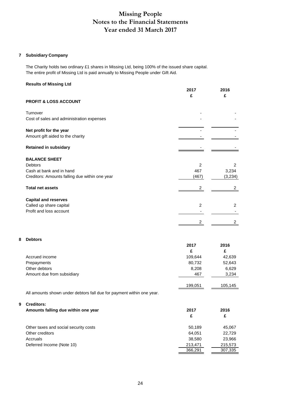# **Missing People Notes to the Financial Statements Year ended 31 March 2017**

### **7 Subsidiary Company**

The Charity holds two ordinary £1 shares in Missing Ltd, being 100% of the issued share capital. The entire profit of Missing Ltd is paid annually to Missing People under Gift Aid.

### **Results of Missing Ltd**

|                                                                                                               | 2017<br>£                              | 2016<br>£                               |
|---------------------------------------------------------------------------------------------------------------|----------------------------------------|-----------------------------------------|
| <b>PROFIT &amp; LOSS ACCOUNT</b>                                                                              |                                        |                                         |
| Turnover<br>Cost of sales and administration expenses                                                         |                                        |                                         |
| Net profit for the year<br>Amount gift aided to the charity                                                   |                                        |                                         |
| <b>Retained in subsidary</b>                                                                                  |                                        |                                         |
| <b>BALANCE SHEET</b><br>Debtors<br>Cash at bank and in hand<br>Creditors: Amounts falling due within one year | $\overline{2}$<br>467<br>(467)         | 2<br>3,234<br>(3,234)                   |
| <b>Total net assets</b>                                                                                       | $\overline{\mathbf{c}}$                | $\overline{2}$                          |
| <b>Capital and reserves</b><br>Called up share capital<br>Profit and loss account                             | $\overline{c}$<br>2                    | 2<br>$\overline{2}$                     |
| <b>Debtors</b>                                                                                                | 2017                                   | 2016                                    |
| Accrued income<br>Prepayments<br>Other debtors<br>Amount due from subsidiary                                  | £<br>109,644<br>80,732<br>8,208<br>467 | £<br>42,639<br>52,643<br>6,629<br>3,234 |

All amounts shown under debtors fall due for payment within one year.

### **9 Creditors:**

**8 Debtors**

| vitulitu.<br>Amounts falling due within one year | 2017<br>£ | 2016<br>£ |
|--------------------------------------------------|-----------|-----------|
| Other taxes and social security costs            | 50,189    | 45,067    |
| Other creditors                                  | 64.051    | 22,729    |
| Accruals                                         | 38,580    | 23,966    |
| Deferred Income (Note 10)                        | 213,471   | 215,573   |
|                                                  | 366,291   | 307,335   |

199,051 105,145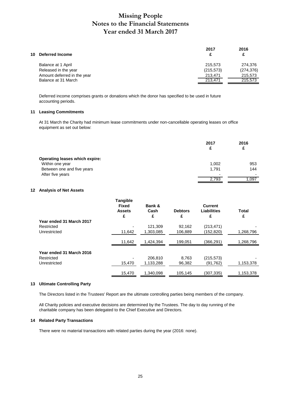# **Missing People Notes to the Financial Statements Year ended 31 March 2017**

|    |                             | 2017       | 2016       |
|----|-----------------------------|------------|------------|
| 10 | <b>Deferred Income</b>      | c          | £          |
|    | Balance at 1 April          | 215,573    | 274,376    |
|    | Released in the year        | (215, 573) | (274, 376) |
|    | Amount deferred in the year | 213.471    | 215,573    |
|    | Balance at 31 March         | 213.471    | 215,573    |
|    |                             |            |            |

Deferred income comprises grants or donations which the donor has specified to be used in future accounting periods.

### **11 Leasing Commitments**

At 31 March the Charity had minimum lease commitments under non-cancellable operating leases on office equipment as set out below:

|                                       | 2017<br>£ | 2016<br>£ |
|---------------------------------------|-----------|-----------|
| <b>Operating leases which expire:</b> |           |           |
| Within one year                       | 1,002     | 953       |
| Between one and five years            | 1.791     | 144       |
| After five years                      |           |           |
|                                       | 2,793     | 1,097     |

### **12 Analysis of Net Assets**

|                          | <b>Tangible</b><br><b>Fixed</b><br><b>Assets</b> | Bank &<br>Cash | <b>Debtors</b> | <b>Current</b><br>Liabilities | Total     |
|--------------------------|--------------------------------------------------|----------------|----------------|-------------------------------|-----------|
|                          | £                                                | £              | £              | £                             | £         |
| Year ended 31 March 2017 |                                                  |                |                |                               |           |
| Restricted               | ٠                                                | 121.309        | 92,162         | (213, 471)                    |           |
| Unrestricted             | 11,642                                           | 1,303,085      | 106,889        | (152,820)                     | 1,268,796 |
|                          | 11,642                                           | 1,424,394      | 199.051        | (366,291)                     | 1,268,796 |
| Year ended 31 March 2016 |                                                  |                |                |                               |           |
| Restricted               | ٠                                                | 206.810        | 8.763          | (215, 573)                    |           |
| Unrestricted             | 15,470                                           | 1,133,288      | 96,382         | (91, 762)                     | 1,153,378 |
|                          | 15,470                                           | 1.340.098      | 105.145        | (307, 335)                    | 1,153,378 |

### **13 Ultimate Controlling Party**

The Directors listed in the Trustees' Report are the ultimate controlling parties being members of the company.

All Charity policies and executive decisions are determined by the Trustees. The day to day running of the charitable company has been delegated to the Chief Executive and Directors.

### **14 Related Party Transactions**

There were no material transactions with related parties during the year (2016: none).